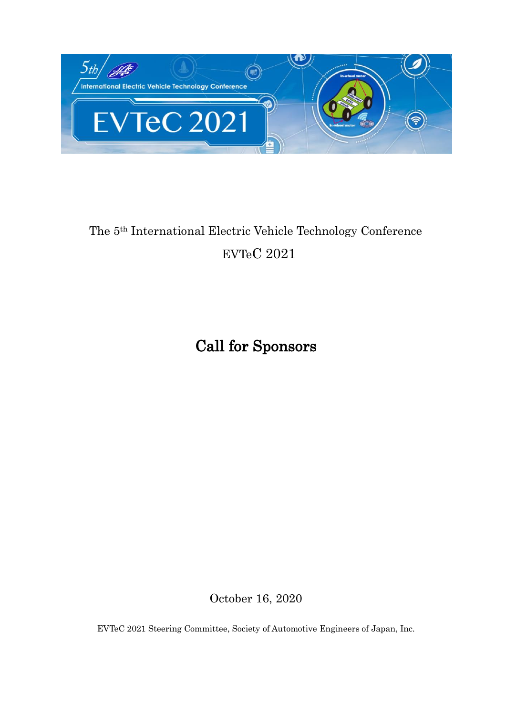

# The 5th International Electric Vehicle Technology Conference EVTeC 2021

# Call for Sponsors

October 16, 2020

EVTeC 2021 Steering Committee, Society of Automotive Engineers of Japan, Inc.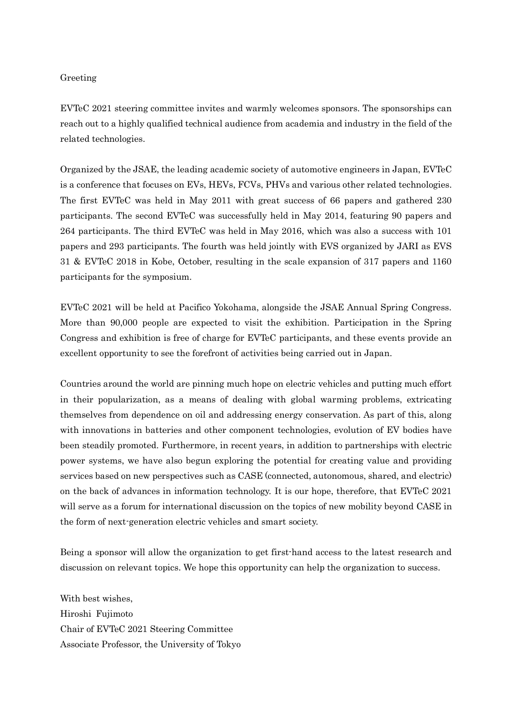#### Greeting

EVTeC 2021 steering committee invites and warmly welcomes sponsors. The sponsorships can reach out to a highly qualified technical audience from academia and industry in the field of the related technologies.

Organized by the JSAE, the leading academic society of automotive engineers in Japan, EVTeC is a conference that focuses on EVs, HEVs, FCVs, PHVs and various other related technologies. The first EVTeC was held in May 2011 with great success of 66 papers and gathered 230 participants. The second EVTeC was successfully held in May 2014, featuring 90 papers and 264 participants. The third EVTeC was held in May 2016, which was also a success with 101 papers and 293 participants. The fourth was held jointly with EVS organized by JARI as EVS 31 & EVTeC 2018 in Kobe, October, resulting in the scale expansion of 317 papers and 1160 participants for the symposium.

EVTeC 2021 will be held at Pacifico Yokohama, alongside the JSAE Annual Spring Congress. More than 90,000 people are expected to visit the exhibition. Participation in the Spring Congress and exhibition is free of charge for EVTeC participants, and these events provide an excellent opportunity to see the forefront of activities being carried out in Japan.

Countries around the world are pinning much hope on electric vehicles and putting much effort in their popularization, as a means of dealing with global warming problems, extricating themselves from dependence on oil and addressing energy conservation. As part of this, along with innovations in batteries and other component technologies, evolution of EV bodies have been steadily promoted. Furthermore, in recent years, in addition to partnerships with electric power systems, we have also begun exploring the potential for creating value and providing services based on new perspectives such as CASE (connected, autonomous, shared, and electric) on the back of advances in information technology. It is our hope, therefore, that EVTeC 2021 will serve as a forum for international discussion on the topics of new mobility beyond CASE in the form of next-generation electric vehicles and smart society.

Being a sponsor will allow the organization to get first-hand access to the latest research and discussion on relevant topics. We hope this opportunity can help the organization to success.

With best wishes, Hiroshi Fujimoto Chair of EVTeC 2021 Steering Committee Associate Professor, the University of Tokyo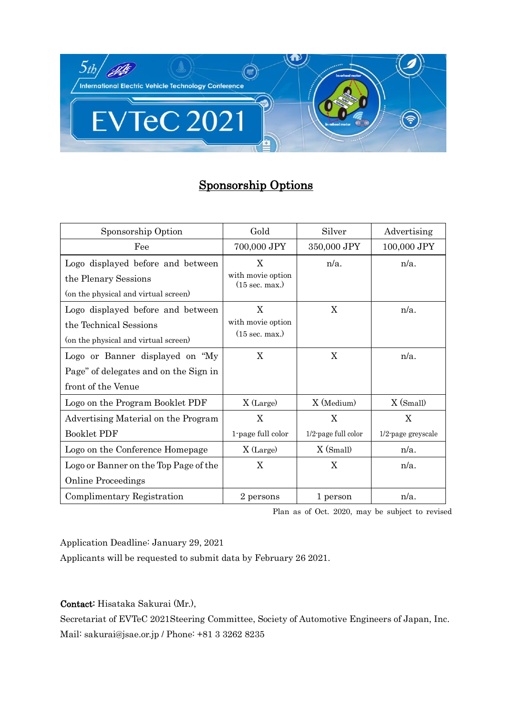

# Sponsorship Options

| Sponsorship Option                                                                                  | Gold                                               | Silver                      | Advertising             |
|-----------------------------------------------------------------------------------------------------|----------------------------------------------------|-----------------------------|-------------------------|
| Fee                                                                                                 | 700,000 JPY                                        | 350,000 JPY                 | 100,000 JPY             |
| Logo displayed before and between<br>the Plenary Sessions<br>(on the physical and virtual screen)   | X<br>with movie option<br>$(15 \text{ sec. max.})$ | $n/a$ .                     | $n/a$ .                 |
| Logo displayed before and between<br>the Technical Sessions<br>(on the physical and virtual screen) | X<br>with movie option<br>$(15 \text{ sec. max.})$ | X                           | $n/a$ .                 |
| Logo or Banner displayed on "My<br>Page" of delegates and on the Sign in<br>front of the Venue      | X                                                  | X                           | $n/a$ .                 |
| Logo on the Program Booklet PDF                                                                     | X (Large)                                          | X (Medium)                  | $X$ (Small)             |
| Advertising Material on the Program<br><b>Booklet PDF</b>                                           | X<br>1-page full color                             | X<br>$1/2$ -page full color | X<br>1/2-page greyscale |
| Logo on the Conference Homepage                                                                     | X (Large)                                          | $X$ (Small)                 | $n/a$ .                 |
| Logo or Banner on the Top Page of the<br><b>Online Proceedings</b>                                  | X                                                  | X                           | $n/a$ .                 |
| Complimentary Registration                                                                          | 2 persons                                          | 1 person                    | $n/a$ .                 |

Plan as of Oct. 2020, may be subject to revised

Application Deadline: January 29, 2021

Applicants will be requested to submit data by February 26 2021.

Contact: Hisataka Sakurai (Mr.),

Secretariat of EVTeC 2021Steering Committee, Society of Automotive Engineers of Japan, Inc. Mail: sakurai@jsae.or.jp / Phone: +81 3 3262 8235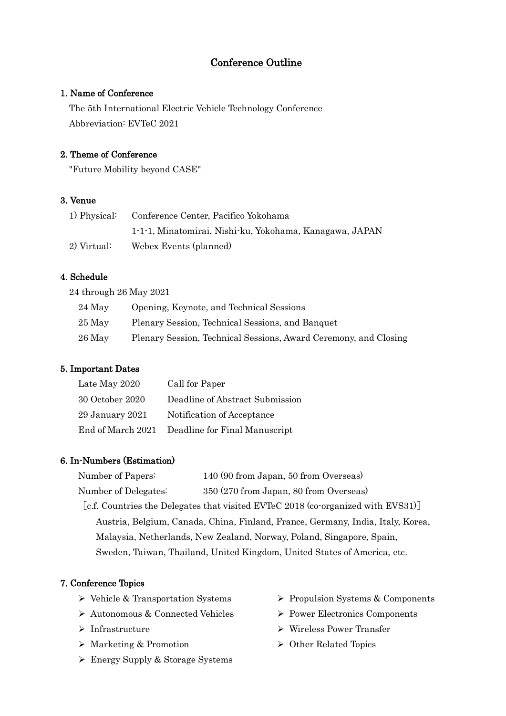# Conference Outline

### 1. Name of Conference

The 5th International Electric Vehicle Technology Conference Abbreviation: EVTeC 2021

# 2. Theme of Conference

"Future Mobility beyond CASE"

# 3. Venue

| 1) Physical: | Conference Center, Pacifico Yokohama                    |  |
|--------------|---------------------------------------------------------|--|
|              | 1-1-1, Minatomirai, Nishi-ku, Yokohama, Kanagawa, JAPAN |  |
| 2) Virtual:  | Webex Events (planned)                                  |  |

# 4. Schedule

24 through 26 May 2021

| 24 May | Opening, Keynote, and Technical Sessions                         |
|--------|------------------------------------------------------------------|
| 25 May | Plenary Session, Technical Sessions, and Banquet                 |
| 26 May | Plenary Session, Technical Sessions, Award Ceremony, and Closing |

# 5. Important Dates

| Late May 2020       | Call for Paper                  |
|---------------------|---------------------------------|
| 30 October 2020     | Deadline of Abstract Submission |
| $29$ January $2021$ | Notification of Acceptance      |
| End of March 2021   | Deadline for Final Manuscript   |

#### 6. In-Numbers (Estimation)

| Number of Papers:    | 140 (90 from Japan, 50 from Overseas)                                            |
|----------------------|----------------------------------------------------------------------------------|
| Number of Delegates: | 350 (270 from Japan, 80 from Overseas)                                           |
|                      | [c.f. Countries the Delegates that visited EVTeC 2018 (co-organized with EVS31)] |
|                      | Austria, Belgium, Canada, China, Finland, France, Germany, India, Italy, Korea,  |
|                      | Malaysia, Netherlands, New Zealand, Norway, Poland, Singapore, Spain,            |
|                      | Sweden, Taiwan, Thailand, United Kingdom, United States of America, etc.         |

#### 7. Conference Topics

- ➢ Vehicle & Transportation Systems
- ➢ Autonomous & Connected Vehicles
- ➢ Infrastructure
- ➢ Marketing & Promotion
- ➢ Energy Supply & Storage Systems
- ➢ Propulsion Systems & Components
- ➢ Power Electronics Components
- ➢ Wireless Power Transfer
- ➢ Other Related Topics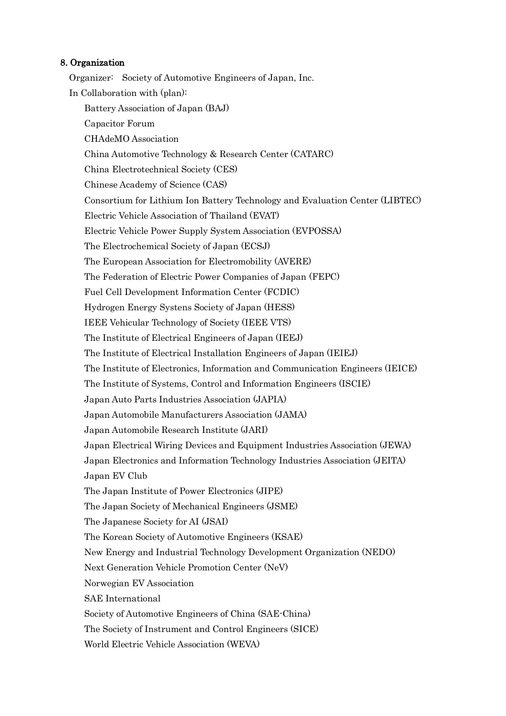#### 8. Organization

Organizer: Society of Automotive Engineers of Japan, Inc. In Collaboration with (plan): Battery Association of Japan (BAJ) Capacitor Forum CHAdeMO Association China Automotive Technology & Research Center (CATARC) China Electrotechnical Society (CES) Chinese Academy of Science (CAS) Consortium for Lithium Ion Battery Technology and Evaluation Center (LIBTEC) Electric Vehicle Association of Thailand (EVAT) Electric Vehicle Power Supply System Association (EVPOSSA) The Electrochemical Society of Japan (ECSJ) The European Association for Electromobility (AVERE) The Federation of Electric Power Companies of Japan (FEPC) Fuel Cell Development Information Center (FCDIC) Hydrogen Energy Systens Society of Japan (HESS) IEEE Vehicular Technology of Society (IEEE VTS) The Institute of Electrical Engineers of Japan (IEEJ) The Institute of Electrical Installation Engineers of Japan (IEIEJ) The Institute of Electronics, Information and Communication Engineers (IEICE) The Institute of Systems, Control and Information Engineers (ISCIE) Japan Auto Parts Industries Association (JAPIA) Japan Automobile Manufacturers Association (JAMA) Japan Automobile Research Institute (JARI) Japan Electrical Wiring Devices and Equipment Industries Association (JEWA) Japan Electronics and Information Technology Industries Association (JEITA) Japan EV Club The Japan Institute of Power Electronics (JIPE) The Japan Society of Mechanical Engineers (JSME) The Japanese Society for AI (JSAI) The Korean Society of Automotive Engineers (KSAE) New Energy and Industrial Technology Development Organization (NEDO) Next Generation Vehicle Promotion Center (NeV) Norwegian EV Association SAE International Society of Automotive Engineers of China (SAE-China) The Society of Instrument and Control Engineers (SICE) World Electric Vehicle Association (WEVA)